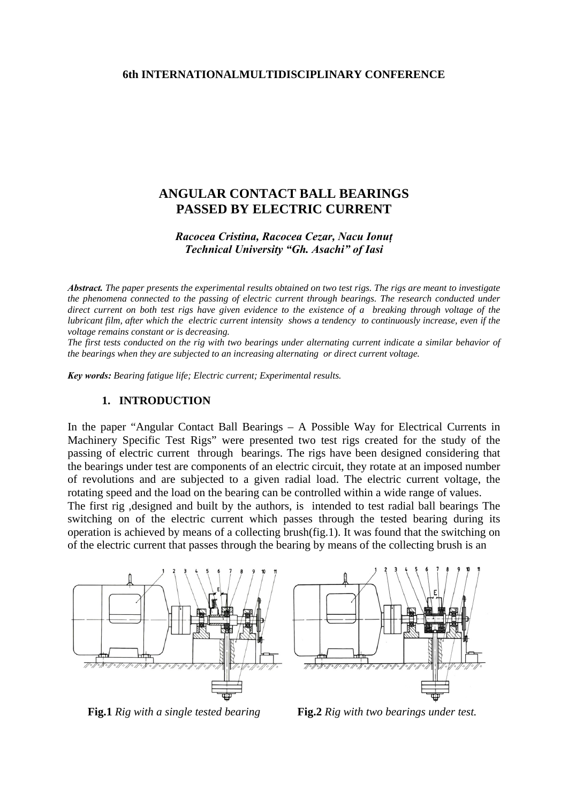### **6th INTERNATIONALMULTIDISCIPLINARY CONFERENCE**

# **ANGULAR CONTACT BALL BEARINGS PASSED BY ELECTRIC CURRENT**

# *Racocea Cristina, Racocea Cezar, Nacu Ionuţ Technical University "Gh. Asachi" of Iasi*

*Abstract. The paper presents the experimental results obtained on two test rigs. The rigs are meant to investigate the phenomena connected to the passing of electric current through bearings. The research conducted under direct current on both test rigs have given evidence to the existence of a breaking through voltage of the lubricant film, after which the electric current intensity shows a tendency to continuously increase, even if the voltage remains constant or is decreasing.* 

*The first tests conducted on the rig with two bearings under alternating current indicate a similar behavior of the bearings when they are subjected to an increasing alternating or direct current voltage.* 

*Key words: Bearing fatigue life; Electric current; Experimental results.*

#### **1. INTRODUCTION**

In the paper "Angular Contact Ball Bearings – A Possible Way for Electrical Currents in Machinery Specific Test Rigs" were presented two test rigs created for the study of the passing of electric current through bearings. The rigs have been designed considering that the bearings under test are components of an electric circuit, they rotate at an imposed number of revolutions and are subjected to a given radial load. The electric current voltage, the rotating speed and the load on the bearing can be controlled within a wide range of values. The first rig ,designed and built by the authors, is intended to test radial ball bearings The switching on of the electric current which passes through the tested bearing during its operation is achieved by means of a collecting brush(fig.1). It was found that the switching on

of the electric current that passes through the bearing by means of the collecting brush is an





**Fig.1** *Rig with a single tested bearing* **Fig.2** *Rig with two bearings under test.*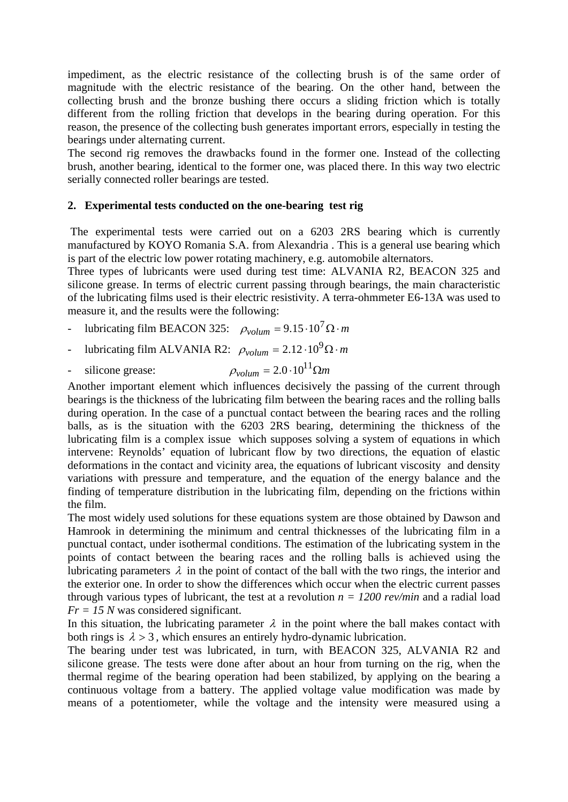impediment, as the electric resistance of the collecting brush is of the same order of magnitude with the electric resistance of the bearing. On the other hand, between the collecting brush and the bronze bushing there occurs a sliding friction which is totally different from the rolling friction that develops in the bearing during operation. For this reason, the presence of the collecting bush generates important errors, especially in testing the bearings under alternating current.

The second rig removes the drawbacks found in the former one. Instead of the collecting brush, another bearing, identical to the former one, was placed there. In this way two electric serially connected roller bearings are tested.

## **2. Experimental tests conducted on the one-bearing test rig**

 The experimental tests were carried out on a 6203 2RS bearing which is currently manufactured by KOYO Romania S.A. from Alexandria . This is a general use bearing which is part of the electric low power rotating machinery, e.g. automobile alternators.

Three types of lubricants were used during test time: ALVANIA R2, BEACON 325 and silicone grease. In terms of electric current passing through bearings, the main characteristic of the lubricating films used is their electric resistivity. A terra-ohmmeter E6-13A was used to measure it, and the results were the following:

- lubricating film BEACON 325:  $\rho_{volume} = 9.15 \cdot 10^7 \Omega \cdot m$
- lubricating film ALVANIA R2:  $\rho_{volume} = 2.12 \cdot 10^9 \Omega \cdot m$
- silicone grease:  $\rho_{volume} = 2.0 \cdot 10^{11} \Omega m$

Another important element which influences decisively the passing of the current through bearings is the thickness of the lubricating film between the bearing races and the rolling balls during operation. In the case of a punctual contact between the bearing races and the rolling balls, as is the situation with the 6203 2RS bearing, determining the thickness of the lubricating film is a complex issue which supposes solving a system of equations in which intervene: Reynolds' equation of lubricant flow by two directions, the equation of elastic deformations in the contact and vicinity area, the equations of lubricant viscosity and density variations with pressure and temperature, and the equation of the energy balance and the finding of temperature distribution in the lubricating film, depending on the frictions within the film.

The most widely used solutions for these equations system are those obtained by Dawson and Hamrook in determining the minimum and central thicknesses of the lubricating film in a punctual contact, under isothermal conditions. The estimation of the lubricating system in the points of contact between the bearing races and the rolling balls is achieved using the lubricating parameters  $\lambda$  in the point of contact of the ball with the two rings, the interior and the exterior one. In order to show the differences which occur when the electric current passes through various types of lubricant, the test at a revolution  $n = 1200$  rev/min and a radial load *Fr = 15 N* was considered significant.

In this situation, the lubricating parameter  $\lambda$  in the point where the ball makes contact with both rings is  $\lambda > 3$ , which ensures an entirely hydro-dynamic lubrication.

The bearing under test was lubricated, in turn, with BEACON 325, ALVANIA R2 and silicone grease. The tests were done after about an hour from turning on the rig, when the thermal regime of the bearing operation had been stabilized, by applying on the bearing a continuous voltage from a battery. The applied voltage value modification was made by means of a potentiometer, while the voltage and the intensity were measured using a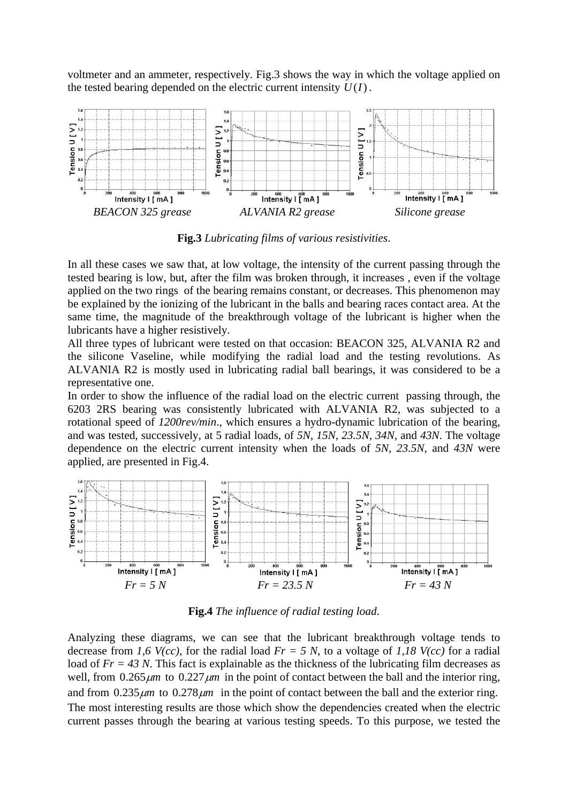voltmeter and an ammeter, respectively. Fig.3 shows the way in which the voltage applied on the tested bearing depended on the electric current intensity  $U(I)$ .



**Fig.3** *Lubricating films of various resistivities*.

In all these cases we saw that, at low voltage, the intensity of the current passing through the tested bearing is low, but, after the film was broken through, it increases , even if the voltage applied on the two rings of the bearing remains constant, or decreases. This phenomenon may be explained by the ionizing of the lubricant in the balls and bearing races contact area. At the same time, the magnitude of the breakthrough voltage of the lubricant is higher when the lubricants have a higher resistively.

All three types of lubricant were tested on that occasion: BEACON 325, ALVANIA R2 and the silicone Vaseline, while modifying the radial load and the testing revolutions. As ALVANIA R2 is mostly used in lubricating radial ball bearings, it was considered to be a representative one.

In order to show the influence of the radial load on the electric current passing through, the 6203 2RS bearing was consistently lubricated with ALVANIA R2, was subjected to a rotational speed of *1200rev/min*., which ensures a hydro-dynamic lubrication of the bearing, and was tested, successively, at 5 radial loads, of *5N, 15N, 23.5N, 34N,* and *43N*. The voltage dependence on the electric current intensity when the loads of *5N, 23.5N*, and *43N* were applied, are presented in Fig.4.



**Fig.4** *The influence of radial testing load*.

Analyzing these diagrams, we can see that the lubricant breakthrough voltage tends to decrease from *1,6 V(cc)*, for the radial load *Fr = 5 N*, to a voltage of *1,18 V(cc)* for a radial load of  $Fr = 43 N$ . This fact is explainable as the thickness of the lubricating film decreases as well, from  $0.265 \mu m$  to  $0.227 \mu m$  in the point of contact between the ball and the interior ring, and from  $0.235 \mu m$  to  $0.278 \mu m$  in the point of contact between the ball and the exterior ring. The most interesting results are those which show the dependencies created when the electric current passes through the bearing at various testing speeds. To this purpose, we tested the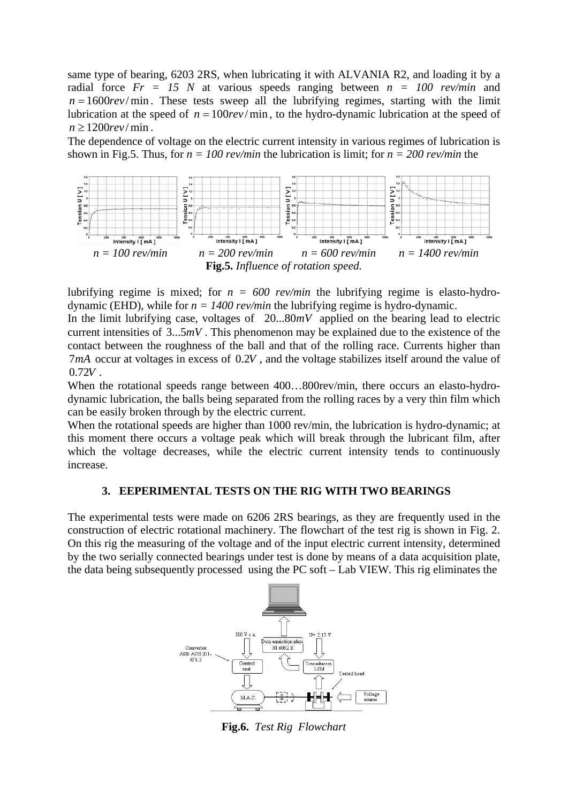same type of bearing, 6203 2RS, when lubricating it with ALVANIA R2, and loading it by a radial force *Fr = 15 N* at various speeds ranging between *n = 100 rev/min* and  $n = 1600 \, \text{rev/min}$ . These tests sweep all the lubrifying regimes, starting with the limit lubrication at the speed of  $n = 100rev/min$ , to the hydro-dynamic lubrication at the speed of  $n \ge 1200$ rev/min.

The dependence of voltage on the electric current intensity in various regimes of lubrication is shown in Fig.5. Thus, for *n = 100 rev/min* the lubrication is limit; for *n = 200 rev/min* the



lubrifying regime is mixed; for  $n = 600$  rev/min the lubrifying regime is elasto-hydrodynamic (EHD), while for  $n = 1400$  rev/min the lubrifying regime is hydro-dynamic.

In the limit lubrifying case, voltages of  $20...80mV$  applied on the bearing lead to electric current intensities of  $3...5mV$ . This phenomenon may be explained due to the existence of the contact between the roughness of the ball and that of the rolling race. Currents higher than  $7mA$  occur at voltages in excess of  $0.2V$ , and the voltage stabilizes itself around the value of  $0.72V$ .

When the rotational speeds range between 400...800rev/min, there occurs an elasto-hydrodynamic lubrication, the balls being separated from the rolling races by a very thin film which can be easily broken through by the electric current.

When the rotational speeds are higher than 1000 rev/min, the lubrication is hydro-dynamic; at this moment there occurs a voltage peak which will break through the lubricant film, after which the voltage decreases, while the electric current intensity tends to continuously increase.

## **3. EEPERIMENTAL TESTS ON THE RIG WITH TWO BEARINGS**

The experimental tests were made on 6206 2RS bearings, as they are frequently used in the construction of electric rotational machinery. The flowchart of the test rig is shown in Fig. 2. On this rig the measuring of the voltage and of the input electric current intensity, determined by the two serially connected bearings under test is done by means of a data acquisition plate, the data being subsequently processed using the PC soft – Lab VIEW. This rig eliminates the



**Fig.6.** *Test Rig Flowchart*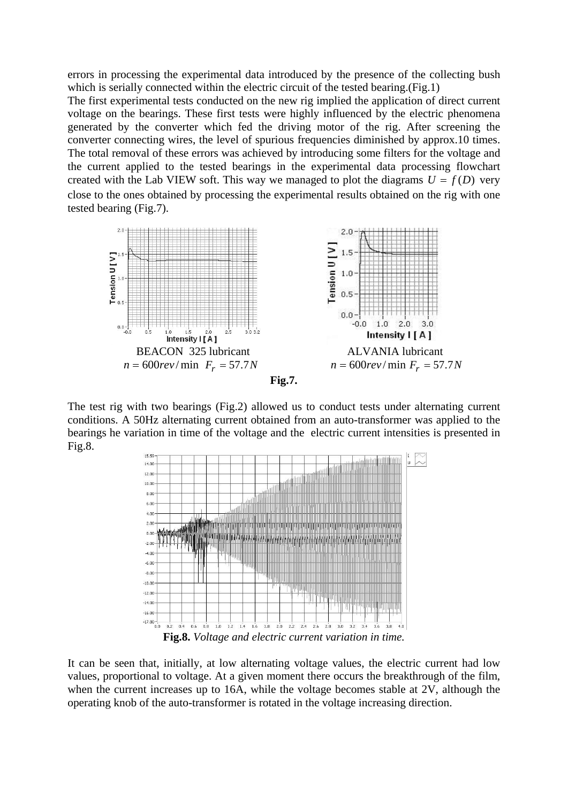errors in processing the experimental data introduced by the presence of the collecting bush which is serially connected within the electric circuit of the tested bearing.(Fig.1)

The first experimental tests conducted on the new rig implied the application of direct current voltage on the bearings. These first tests were highly influenced by the electric phenomena generated by the converter which fed the driving motor of the rig. After screening the converter connecting wires, the level of spurious frequencies diminished by approx.10 times. The total removal of these errors was achieved by introducing some filters for the voltage and the current applied to the tested bearings in the experimental data processing flowchart created with the Lab VIEW soft. This way we managed to plot the diagrams  $U = f(D)$  very close to the ones obtained by processing the experimental results obtained on the rig with one tested bearing (Fig.7).





The test rig with two bearings (Fig.2) allowed us to conduct tests under alternating current conditions. A 50Hz alternating current obtained from an auto-transformer was applied to the bearings he variation in time of the voltage and the electric current intensities is presented in Fig.8.



It can be seen that, initially, at low alternating voltage values, the electric current had low values, proportional to voltage. At a given moment there occurs the breakthrough of the film, when the current increases up to 16A, while the voltage becomes stable at 2V, although the operating knob of the auto-transformer is rotated in the voltage increasing direction.